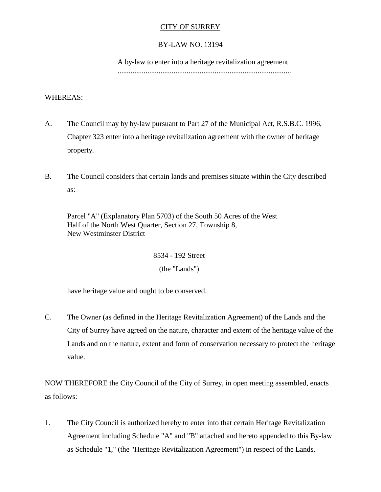## CITY OF SURREY

### BY-LAW NO. 13194

A by-law to enter into a heritage revitalization agreement .............................................................................................

# WHEREAS:

- A. The Council may by by-law pursuant to Part 27 of the Municipal Act, R.S.B.C. 1996, Chapter 323 enter into a heritage revitalization agreement with the owner of heritage property.
- B. The Council considers that certain lands and premises situate within the City described as:

Parcel "A" (Explanatory Plan 5703) of the South 50 Acres of the West Half of the North West Quarter, Section 27, Township 8, New Westminster District

> 8534 - 192 Street (the "Lands")

have heritage value and ought to be conserved.

C. The Owner (as defined in the Heritage Revitalization Agreement) of the Lands and the City of Surrey have agreed on the nature, character and extent of the heritage value of the Lands and on the nature, extent and form of conservation necessary to protect the heritage value.

NOW THEREFORE the City Council of the City of Surrey, in open meeting assembled, enacts as follows:

1. The City Council is authorized hereby to enter into that certain Heritage Revitalization Agreement including Schedule "A" and "B" attached and hereto appended to this By-law as Schedule "1," (the "Heritage Revitalization Agreement") in respect of the Lands.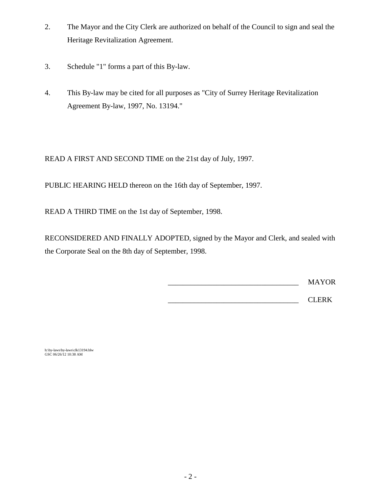- 2. The Mayor and the City Clerk are authorized on behalf of the Council to sign and seal the Heritage Revitalization Agreement.
- 3. Schedule "1" forms a part of this By-law.
- 4. This By-law may be cited for all purposes as "City of Surrey Heritage Revitalization Agreement By-law, 1997, No. 13194."

READ A FIRST AND SECOND TIME on the 21st day of July, 1997.

PUBLIC HEARING HELD thereon on the 16th day of September, 1997.

READ A THIRD TIME on the 1st day of September, 1998.

RECONSIDERED AND FINALLY ADOPTED, signed by the Mayor and Clerk, and sealed with the Corporate Seal on the 8th day of September, 1998.

\_\_\_\_\_\_\_\_\_\_\_\_\_\_\_\_\_\_\_\_\_\_\_\_\_\_\_\_\_\_\_\_\_\_\_ MAYOR

\_\_\_\_\_\_\_\_\_\_\_\_\_\_\_\_\_\_\_\_\_\_\_\_\_\_\_\_\_\_\_\_\_\_\_ CLERK

h:\by-laws\by-laws\clk13194.blw GSC 06/26/12 10:38 AM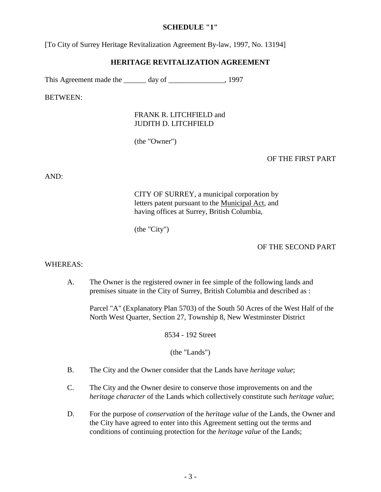#### **SCHEDULE "1"**

[To City of Surrey Heritage Revitalization Agreement By-law, 1997, No. 13194]

### **HERITAGE REVITALIZATION AGREEMENT**

This Agreement made the day of the 1997

BETWEEN:

## FRANK R. LITCHFIELD and JUDITH D. LITCHFIELD

(the "Owner")

### OF THE FIRST PART

AND:

CITY OF SURREY, a municipal corporation by letters patent pursuant to the Municipal Act, and having offices at Surrey, British Columbia,

(the "City")

#### OF THE SECOND PART

#### WHEREAS:

A. The Owner is the registered owner in fee simple of the following lands and premises situate in the City of Surrey, British Columbia and described as :

Parcel "A" (Explanatory Plan 5703) of the South 50 Acres of the West Half of the North West Quarter, Section 27, Township 8, New Westminster District

8534 - 192 Street

(the "Lands")

- B. The City and the Owner consider that the Lands have *heritage value*;
- C. The City and the Owner desire to conserve those improvements on and the *heritage character* of the Lands which collectively constitute such *heritage value*;
- D. For the purpose of *conservation* of the *heritage value* of the Lands, the Owner and the City have agreed to enter into this Agreement setting out the terms and conditions of continuing protection for the *heritage value* of the Lands;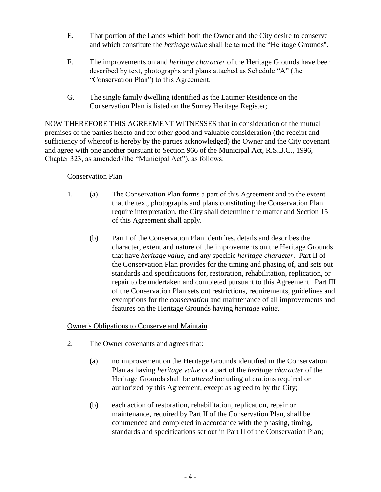- E. That portion of the Lands which both the Owner and the City desire to conserve and which constitute the *heritage value* shall be termed the "Heritage Grounds".
- F. The improvements on and *heritage character* of the Heritage Grounds have been described by text, photographs and plans attached as Schedule "A" (the "Conservation Plan") to this Agreement.
- G. The single family dwelling identified as the Latimer Residence on the Conservation Plan is listed on the Surrey Heritage Register;

NOW THEREFORE THIS AGREEMENT WITNESSES that in consideration of the mutual premises of the parties hereto and for other good and valuable consideration (the receipt and sufficiency of whereof is hereby by the parties acknowledged) the Owner and the City covenant and agree with one another pursuant to Section 966 of the Municipal Act, R.S.B.C., 1996, Chapter 323, as amended (the "Municipal Act"), as follows:

# Conservation Plan

- 1. (a) The Conservation Plan forms a part of this Agreement and to the extent that the text, photographs and plans constituting the Conservation Plan require interpretation, the City shall determine the matter and Section 15 of this Agreement shall apply.
	- (b) Part I of the Conservation Plan identifies, details and describes the character, extent and nature of the improvements on the Heritage Grounds that have *heritage value,* and any specific *heritage character*. Part II of the Conservation Plan provides for the timing and phasing of, and sets out standards and specifications for, restoration, rehabilitation, replication, or repair to be undertaken and completed pursuant to this Agreement. Part III of the Conservation Plan sets out restrictions, requirements, guidelines and exemptions for the *conservation* and maintenance of all improvements and features on the Heritage Grounds having *heritage value*.

# Owner's Obligations to Conserve and Maintain

- 2. The Owner covenants and agrees that:
	- (a) no improvement on the Heritage Grounds identified in the Conservation Plan as having *heritage value* or a part of the *heritage character* of the Heritage Grounds shall be *altered* including alterations required or authorized by this Agreement, except as agreed to by the City;
	- (b) each action of restoration, rehabilitation, replication, repair or maintenance, required by Part II of the Conservation Plan, shall be commenced and completed in accordance with the phasing, timing, standards and specifications set out in Part II of the Conservation Plan;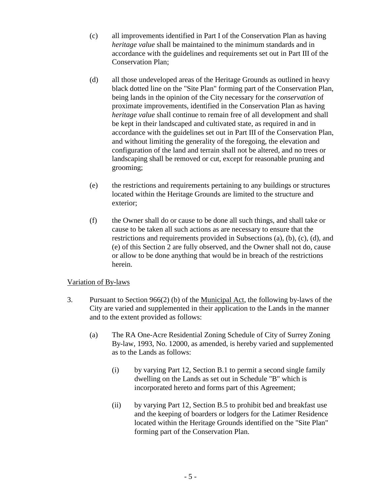- (c) all improvements identified in Part I of the Conservation Plan as having *heritage value* shall be maintained to the minimum standards and in accordance with the guidelines and requirements set out in Part III of the Conservation Plan;
- (d) all those undeveloped areas of the Heritage Grounds as outlined in heavy black dotted line on the "Site Plan" forming part of the Conservation Plan, being lands in the opinion of the City necessary for the *conservation* of proximate improvements, identified in the Conservation Plan as having *heritage value* shall continue to remain free of all development and shall be kept in their landscaped and cultivated state, as required in and in accordance with the guidelines set out in Part III of the Conservation Plan, and without limiting the generality of the foregoing, the elevation and configuration of the land and terrain shall not be altered, and no trees or landscaping shall be removed or cut, except for reasonable pruning and grooming;
- (e) the restrictions and requirements pertaining to any buildings or structures located within the Heritage Grounds are limited to the structure and exterior;
- (f) the Owner shall do or cause to be done all such things, and shall take or cause to be taken all such actions as are necessary to ensure that the restrictions and requirements provided in Subsections (a), (b), (c), (d), and (e) of this Section 2 are fully observed, and the Owner shall not do, cause or allow to be done anything that would be in breach of the restrictions herein.

## Variation of By-laws

- 3. Pursuant to Section 966(2) (b) of the Municipal Act, the following by-laws of the City are varied and supplemented in their application to the Lands in the manner and to the extent provided as follows:
	- (a) The RA One-Acre Residential Zoning Schedule of City of Surrey Zoning By-law, 1993, No. 12000, as amended, is hereby varied and supplemented as to the Lands as follows:
		- (i) by varying Part 12, Section B.1 to permit a second single family dwelling on the Lands as set out in Schedule "B" which is incorporated hereto and forms part of this Agreement;
		- (ii) by varying Part 12, Section B.5 to prohibit bed and breakfast use and the keeping of boarders or lodgers for the Latimer Residence located within the Heritage Grounds identified on the "Site Plan" forming part of the Conservation Plan.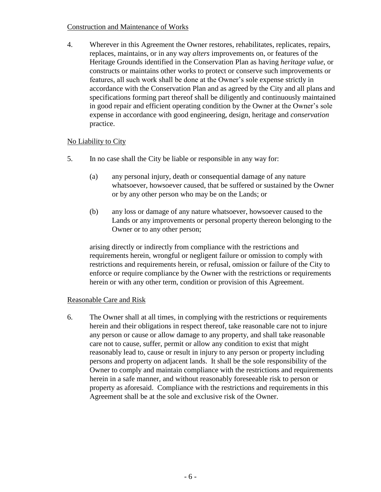### Construction and Maintenance of Works

4. Wherever in this Agreement the Owner restores, rehabilitates, replicates, repairs, replaces, maintains, or in any way *alters* improvements on, or features of the Heritage Grounds identified in the Conservation Plan as having *heritage value*, or constructs or maintains other works to protect or conserve such improvements or features, all such work shall be done at the Owner's sole expense strictly in accordance with the Conservation Plan and as agreed by the City and all plans and specifications forming part thereof shall be diligently and continuously maintained in good repair and efficient operating condition by the Owner at the Owner's sole expense in accordance with good engineering, design, heritage and *conservation* practice.

# No Liability to City

- 5. In no case shall the City be liable or responsible in any way for:
	- (a) any personal injury, death or consequential damage of any nature whatsoever, howsoever caused, that be suffered or sustained by the Owner or by any other person who may be on the Lands; or
	- (b) any loss or damage of any nature whatsoever, howsoever caused to the Lands or any improvements or personal property thereon belonging to the Owner or to any other person;

arising directly or indirectly from compliance with the restrictions and requirements herein, wrongful or negligent failure or omission to comply with restrictions and requirements herein, or refusal, omission or failure of the City to enforce or require compliance by the Owner with the restrictions or requirements herein or with any other term, condition or provision of this Agreement.

## Reasonable Care and Risk

6. The Owner shall at all times, in complying with the restrictions or requirements herein and their obligations in respect thereof, take reasonable care not to injure any person or cause or allow damage to any property, and shall take reasonable care not to cause, suffer, permit or allow any condition to exist that might reasonably lead to, cause or result in injury to any person or property including persons and property on adjacent lands. It shall be the sole responsibility of the Owner to comply and maintain compliance with the restrictions and requirements herein in a safe manner, and without reasonably foreseeable risk to person or property as aforesaid. Compliance with the restrictions and requirements in this Agreement shall be at the sole and exclusive risk of the Owner.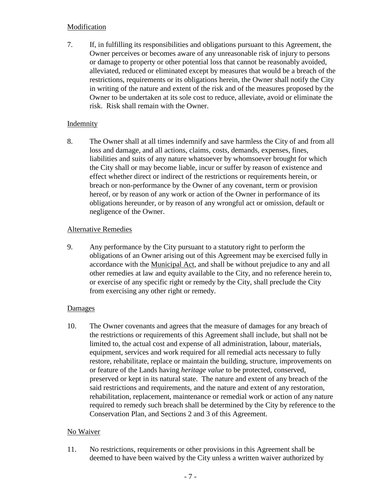#### Modification

7. If, in fulfilling its responsibilities and obligations pursuant to this Agreement, the Owner perceives or becomes aware of any unreasonable risk of injury to persons or damage to property or other potential loss that cannot be reasonably avoided, alleviated, reduced or eliminated except by measures that would be a breach of the restrictions, requirements or its obligations herein, the Owner shall notify the City in writing of the nature and extent of the risk and of the measures proposed by the Owner to be undertaken at its sole cost to reduce, alleviate, avoid or eliminate the risk. Risk shall remain with the Owner.

### Indemnity

8. The Owner shall at all times indemnify and save harmless the City of and from all loss and damage, and all actions, claims, costs, demands, expenses, fines, liabilities and suits of any nature whatsoever by whomsoever brought for which the City shall or may become liable, incur or suffer by reason of existence and effect whether direct or indirect of the restrictions or requirements herein, or breach or non-performance by the Owner of any covenant, term or provision hereof, or by reason of any work or action of the Owner in performance of its obligations hereunder, or by reason of any wrongful act or omission, default or negligence of the Owner.

## Alternative Remedies

9. Any performance by the City pursuant to a statutory right to perform the obligations of an Owner arising out of this Agreement may be exercised fully in accordance with the Municipal Act, and shall be without prejudice to any and all other remedies at law and equity available to the City, and no reference herein to, or exercise of any specific right or remedy by the City, shall preclude the City from exercising any other right or remedy.

#### Damages

10. The Owner covenants and agrees that the measure of damages for any breach of the restrictions or requirements of this Agreement shall include, but shall not be limited to, the actual cost and expense of all administration, labour, materials, equipment, services and work required for all remedial acts necessary to fully restore, rehabilitate, replace or maintain the building, structure, improvements on or feature of the Lands having *heritage value* to be protected, conserved, preserved or kept in its natural state. The nature and extent of any breach of the said restrictions and requirements, and the nature and extent of any restoration, rehabilitation, replacement, maintenance or remedial work or action of any nature required to remedy such breach shall be determined by the City by reference to the Conservation Plan, and Sections 2 and 3 of this Agreement.

## No Waiver

11. No restrictions, requirements or other provisions in this Agreement shall be deemed to have been waived by the City unless a written waiver authorized by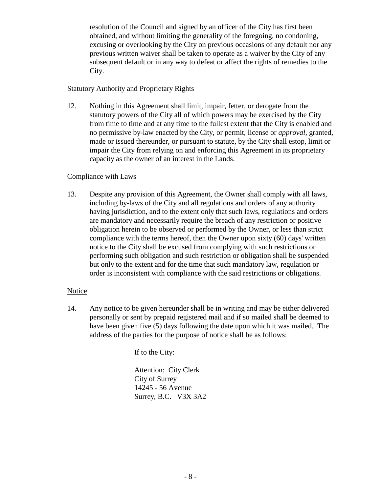resolution of the Council and signed by an officer of the City has first been obtained, and without limiting the generality of the foregoing, no condoning, excusing or overlooking by the City on previous occasions of any default nor any previous written waiver shall be taken to operate as a waiver by the City of any subsequent default or in any way to defeat or affect the rights of remedies to the City.

### Statutory Authority and Proprietary Rights

12. Nothing in this Agreement shall limit, impair, fetter, or derogate from the statutory powers of the City all of which powers may be exercised by the City from time to time and at any time to the fullest extent that the City is enabled and no permissive by-law enacted by the City, or permit, license or *approval*, granted, made or issued thereunder, or pursuant to statute, by the City shall estop, limit or impair the City from relying on and enforcing this Agreement in its proprietary capacity as the owner of an interest in the Lands.

### Compliance with Laws

13. Despite any provision of this Agreement, the Owner shall comply with all laws, including by-laws of the City and all regulations and orders of any authority having jurisdiction, and to the extent only that such laws, regulations and orders are mandatory and necessarily require the breach of any restriction or positive obligation herein to be observed or performed by the Owner, or less than strict compliance with the terms hereof, then the Owner upon sixty (60) days' written notice to the City shall be excused from complying with such restrictions or performing such obligation and such restriction or obligation shall be suspended but only to the extent and for the time that such mandatory law, regulation or order is inconsistent with compliance with the said restrictions or obligations.

## Notice

14. Any notice to be given hereunder shall be in writing and may be either delivered personally or sent by prepaid registered mail and if so mailed shall be deemed to have been given five (5) days following the date upon which it was mailed. The address of the parties for the purpose of notice shall be as follows:

If to the City:

Attention: City Clerk City of Surrey 14245 - 56 Avenue Surrey, B.C. V3X 3A2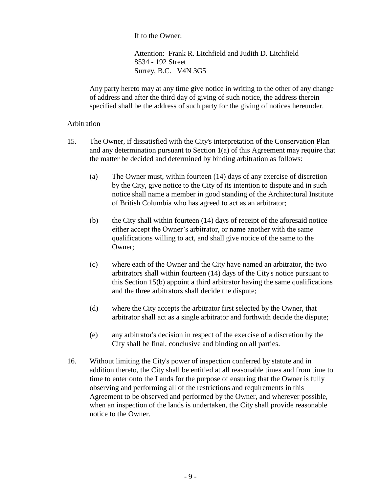If to the Owner:

Attention: Frank R. Litchfield and Judith D. Litchfield 8534 - 192 Street Surrey, B.C. V4N 3G5

Any party hereto may at any time give notice in writing to the other of any change of address and after the third day of giving of such notice, the address therein specified shall be the address of such party for the giving of notices hereunder.

#### Arbitration

- 15. The Owner, if dissatisfied with the City's interpretation of the Conservation Plan and any determination pursuant to Section 1(a) of this Agreement may require that the matter be decided and determined by binding arbitration as follows:
	- (a) The Owner must, within fourteen (14) days of any exercise of discretion by the City, give notice to the City of its intention to dispute and in such notice shall name a member in good standing of the Architectural Institute of British Columbia who has agreed to act as an arbitrator;
	- (b) the City shall within fourteen (14) days of receipt of the aforesaid notice either accept the Owner's arbitrator, or name another with the same qualifications willing to act, and shall give notice of the same to the Owner;
	- (c) where each of the Owner and the City have named an arbitrator, the two arbitrators shall within fourteen (14) days of the City's notice pursuant to this Section 15(b) appoint a third arbitrator having the same qualifications and the three arbitrators shall decide the dispute;
	- (d) where the City accepts the arbitrator first selected by the Owner, that arbitrator shall act as a single arbitrator and forthwith decide the dispute;
	- (e) any arbitrator's decision in respect of the exercise of a discretion by the City shall be final, conclusive and binding on all parties.
- 16. Without limiting the City's power of inspection conferred by statute and in addition thereto, the City shall be entitled at all reasonable times and from time to time to enter onto the Lands for the purpose of ensuring that the Owner is fully observing and performing all of the restrictions and requirements in this Agreement to be observed and performed by the Owner, and wherever possible, when an inspection of the lands is undertaken, the City shall provide reasonable notice to the Owner.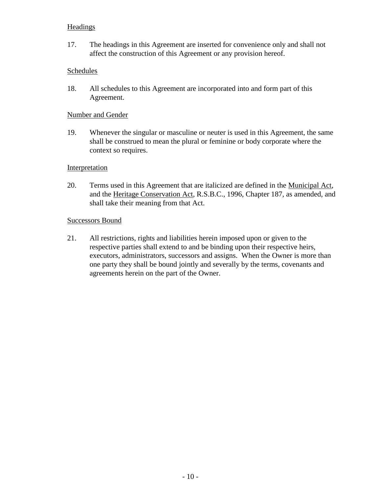## **Headings**

17. The headings in this Agreement are inserted for convenience only and shall not affect the construction of this Agreement or any provision hereof.

# Schedules

18. All schedules to this Agreement are incorporated into and form part of this Agreement.

## Number and Gender

19. Whenever the singular or masculine or neuter is used in this Agreement, the same shall be construed to mean the plural or feminine or body corporate where the context so requires.

### Interpretation

20. Terms used in this Agreement that are italicized are defined in the Municipal Act, and the Heritage Conservation Act, R.S.B.C., 1996, Chapter 187, as amended, and shall take their meaning from that Act.

### Successors Bound

21. All restrictions, rights and liabilities herein imposed upon or given to the respective parties shall extend to and be binding upon their respective heirs, executors, administrators, successors and assigns. When the Owner is more than one party they shall be bound jointly and severally by the terms, covenants and agreements herein on the part of the Owner.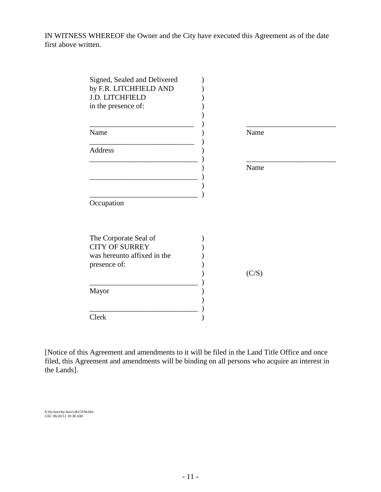IN WITNESS WHEREOF the Owner and the City have executed this Agreement as of the date first above written.

| Signed, Sealed and Delivered<br>by F.R. LITCHFIELD AND<br><b>J.D. LITCHFIELD</b><br>in the presence of: |       |
|---------------------------------------------------------------------------------------------------------|-------|
| Name                                                                                                    | Name  |
| Address                                                                                                 |       |
|                                                                                                         | Name  |
|                                                                                                         |       |
| Occupation                                                                                              |       |
|                                                                                                         |       |
| The Corporate Seal of<br><b>CITY OF SURREY</b>                                                          |       |
| was hereunto affixed in the<br>presence of:                                                             |       |
|                                                                                                         | (C/S) |
| Mayor                                                                                                   |       |
|                                                                                                         |       |
| Clerk                                                                                                   |       |

[Notice of this Agreement and amendments to it will be filed in the Land Title Office and once filed, this Agreement and amendments will be binding on all persons who acquire an interest in the Lands].

h:\by-laws\by-laws\clk13194.blw GSC 06/26/12 10:38 AM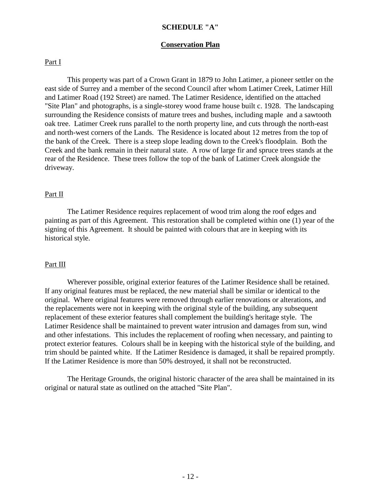#### **SCHEDULE "A"**

#### **Conservation Plan**

#### Part I

This property was part of a Crown Grant in 1879 to John Latimer, a pioneer settler on the east side of Surrey and a member of the second Council after whom Latimer Creek, Latimer Hill and Latimer Road (192 Street) are named. The Latimer Residence, identified on the attached "Site Plan" and photographs, is a single-storey wood frame house built c. 1928. The landscaping surrounding the Residence consists of mature trees and bushes, including maple and a sawtooth oak tree. Latimer Creek runs parallel to the north property line, and cuts through the north-east and north-west corners of the Lands. The Residence is located about 12 metres from the top of the bank of the Creek. There is a steep slope leading down to the Creek's floodplain. Both the Creek and the bank remain in their natural state. A row of large fir and spruce trees stands at the rear of the Residence. These trees follow the top of the bank of Latimer Creek alongside the driveway.

#### Part II

The Latimer Residence requires replacement of wood trim along the roof edges and painting as part of this Agreement. This restoration shall be completed within one (1) year of the signing of this Agreement. It should be painted with colours that are in keeping with its historical style.

#### Part III

Wherever possible, original exterior features of the Latimer Residence shall be retained. If any original features must be replaced, the new material shall be similar or identical to the original. Where original features were removed through earlier renovations or alterations, and the replacements were not in keeping with the original style of the building, any subsequent replacement of these exterior features shall complement the building's heritage style. The Latimer Residence shall be maintained to prevent water intrusion and damages from sun, wind and other infestations. This includes the replacement of roofing when necessary, and painting to protect exterior features. Colours shall be in keeping with the historical style of the building, and trim should be painted white. If the Latimer Residence is damaged, it shall be repaired promptly. If the Latimer Residence is more than 50% destroyed, it shall not be reconstructed.

The Heritage Grounds, the original historic character of the area shall be maintained in its original or natural state as outlined on the attached "Site Plan".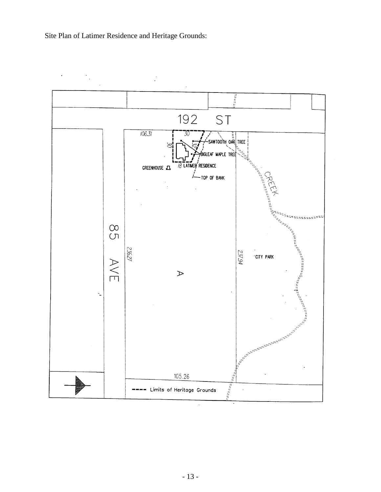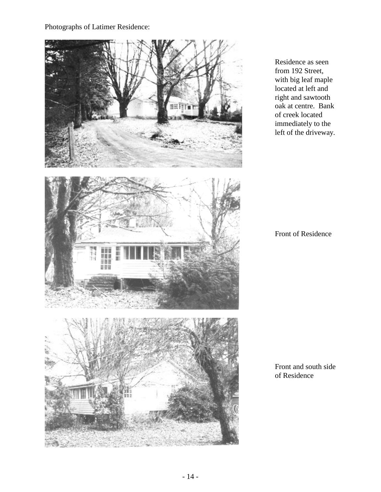Photographs of Latimer Residence:



Residence as seen from 192 Street, with big leaf maple located at left and right and sawtooth oak at centre. Bank of creek located immediately to the left of the driveway.

Front of Residence

Front and south side of Residence